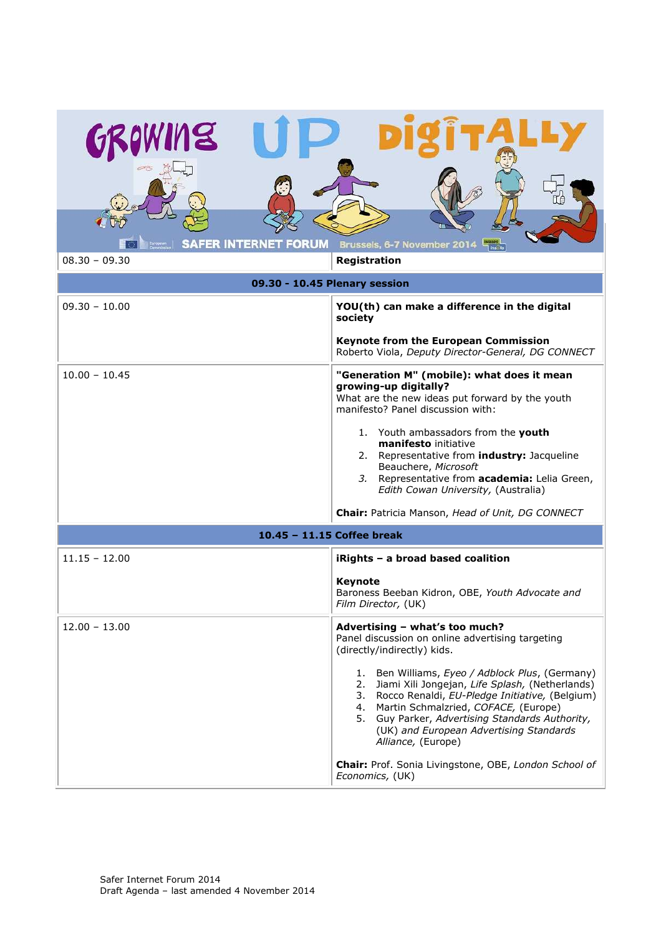| NS (R                                                                   |                                                                                                                                                                                                                                                                                                                                 |  |
|-------------------------------------------------------------------------|---------------------------------------------------------------------------------------------------------------------------------------------------------------------------------------------------------------------------------------------------------------------------------------------------------------------------------|--|
| <b>SAFER INTERNET FORUM</b>                                             | Brussels, 6-7 November 2014                                                                                                                                                                                                                                                                                                     |  |
| $08.30 - 09.30$<br><b>Registration</b><br>09.30 - 10.45 Plenary session |                                                                                                                                                                                                                                                                                                                                 |  |
| $09.30 - 10.00$                                                         | YOU(th) can make a difference in the digital<br>society                                                                                                                                                                                                                                                                         |  |
|                                                                         | <b>Keynote from the European Commission</b><br>Roberto Viola, Deputy Director-General, DG CONNECT                                                                                                                                                                                                                               |  |
| $10.00 - 10.45$                                                         | "Generation M" (mobile): what does it mean<br>growing-up digitally?<br>What are the new ideas put forward by the youth<br>manifesto? Panel discussion with:                                                                                                                                                                     |  |
|                                                                         | 1. Youth ambassadors from the youth<br>manifesto initiative<br>2. Representative from <i>industry</i> : Jacqueline<br>Beauchere, Microsoft<br>Representative from academia: Lelia Green,<br>3.<br>Edith Cowan University, (Australia)                                                                                           |  |
|                                                                         | Chair: Patricia Manson, Head of Unit, DG CONNECT                                                                                                                                                                                                                                                                                |  |
| 10.45 - 11.15 Coffee break                                              |                                                                                                                                                                                                                                                                                                                                 |  |
| $11.15 - 12.00$                                                         | iRights - a broad based coalition                                                                                                                                                                                                                                                                                               |  |
|                                                                         | <b>Keynote</b><br>Baroness Beeban Kidron, OBE, Youth Advocate and<br>Film Director, (UK)                                                                                                                                                                                                                                        |  |
| $12.00 - 13.00$                                                         | Advertising - what's too much?<br>Panel discussion on online advertising targeting<br>(directly/indirectly) kids.                                                                                                                                                                                                               |  |
|                                                                         | Ben Williams, Eyeo / Adblock Plus, (Germany)<br>1.<br>Jiami Xili Jongejan, Life Splash, (Netherlands)<br>2.<br>3. Rocco Renaldi, EU-Pledge Initiative, (Belgium)<br>4. Martin Schmalzried, COFACE, (Europe)<br>5. Guy Parker, Advertising Standards Authority,<br>(UK) and European Advertising Standards<br>Alliance, (Europe) |  |
|                                                                         | Chair: Prof. Sonia Livingstone, OBE, London School of<br>Economics, (UK)                                                                                                                                                                                                                                                        |  |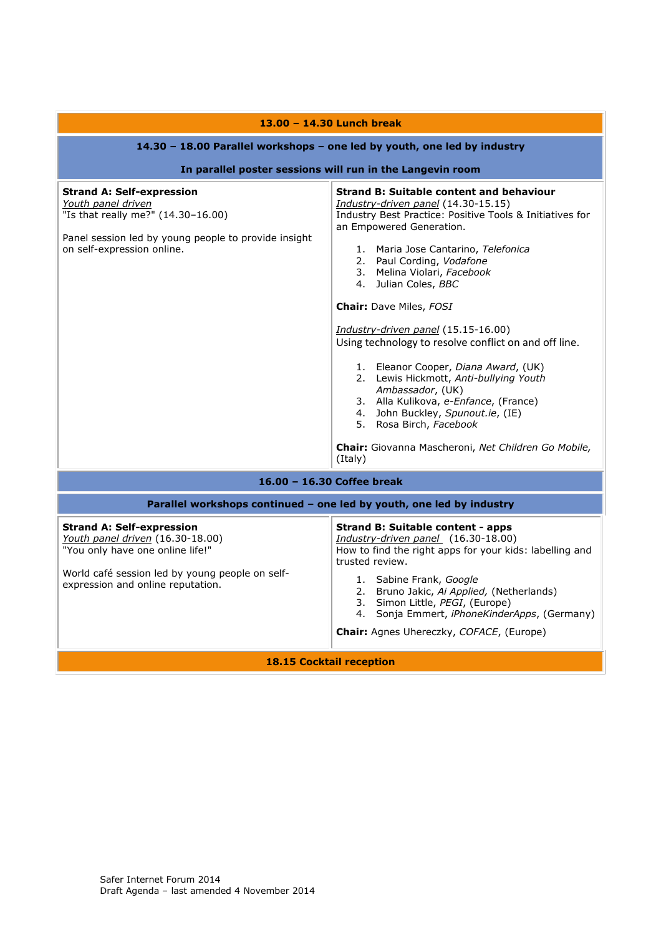| 13.00 - 14.30 Lunch break                                                                                                                                                                        |                                                                                                                                                                                                                                                                                                                                                                                                                                                                                                                                                                                                                                                                                                                       |  |
|--------------------------------------------------------------------------------------------------------------------------------------------------------------------------------------------------|-----------------------------------------------------------------------------------------------------------------------------------------------------------------------------------------------------------------------------------------------------------------------------------------------------------------------------------------------------------------------------------------------------------------------------------------------------------------------------------------------------------------------------------------------------------------------------------------------------------------------------------------------------------------------------------------------------------------------|--|
| 14.30 - 18.00 Parallel workshops - one led by youth, one led by industry                                                                                                                         |                                                                                                                                                                                                                                                                                                                                                                                                                                                                                                                                                                                                                                                                                                                       |  |
| In parallel poster sessions will run in the Langevin room                                                                                                                                        |                                                                                                                                                                                                                                                                                                                                                                                                                                                                                                                                                                                                                                                                                                                       |  |
| <b>Strand A: Self-expression</b><br>Youth panel driven<br>"Is that really me?" (14.30-16.00)<br>Panel session led by young people to provide insight<br>on self-expression online.               | <b>Strand B: Suitable content and behaviour</b><br>Industry-driven panel (14.30-15.15)<br>Industry Best Practice: Positive Tools & Initiatives for<br>an Empowered Generation.<br>1. Maria Jose Cantarino, Telefonica<br>2. Paul Cording, Vodafone<br>3. Melina Violari, Facebook<br>4. Julian Coles, BBC<br>Chair: Dave Miles, FOSI<br>Industry-driven panel (15.15-16.00)<br>Using technology to resolve conflict on and off line.<br>1. Eleanor Cooper, Diana Award, (UK)<br>2. Lewis Hickmott, Anti-bullying Youth<br>Ambassador, (UK)<br>3. Alla Kulikova, e-Enfance, (France)<br>4. John Buckley, Spunout.ie, (IE)<br>5. Rosa Birch, Facebook<br>Chair: Giovanna Mascheroni, Net Children Go Mobile,<br>(Italy) |  |
| 16.00 - 16.30 Coffee break                                                                                                                                                                       |                                                                                                                                                                                                                                                                                                                                                                                                                                                                                                                                                                                                                                                                                                                       |  |
| Parallel workshops continued - one led by youth, one led by industry                                                                                                                             |                                                                                                                                                                                                                                                                                                                                                                                                                                                                                                                                                                                                                                                                                                                       |  |
| <b>Strand A: Self-expression</b><br>Youth panel driven (16.30-18.00)<br>"You only have one online life!"<br>World café session led by young people on self-<br>expression and online reputation. | <b>Strand B: Suitable content - apps</b><br>Industry-driven panel (16.30-18.00)<br>How to find the right apps for your kids: labelling and<br>trusted review.<br>1. Sabine Frank, Google<br>2. Bruno Jakic, Ai Applied, (Netherlands)<br>3. Simon Little, PEGI, (Europe)<br>4. Sonja Emmert, iPhoneKinderApps, (Germany)<br><b>Chair:</b> Agnes Uhereczky, COFACE, (Europe)                                                                                                                                                                                                                                                                                                                                           |  |
| <b>18.15 Cocktail reception</b>                                                                                                                                                                  |                                                                                                                                                                                                                                                                                                                                                                                                                                                                                                                                                                                                                                                                                                                       |  |

<u> 1990 - Johann Barnett, fransk politiker</u>